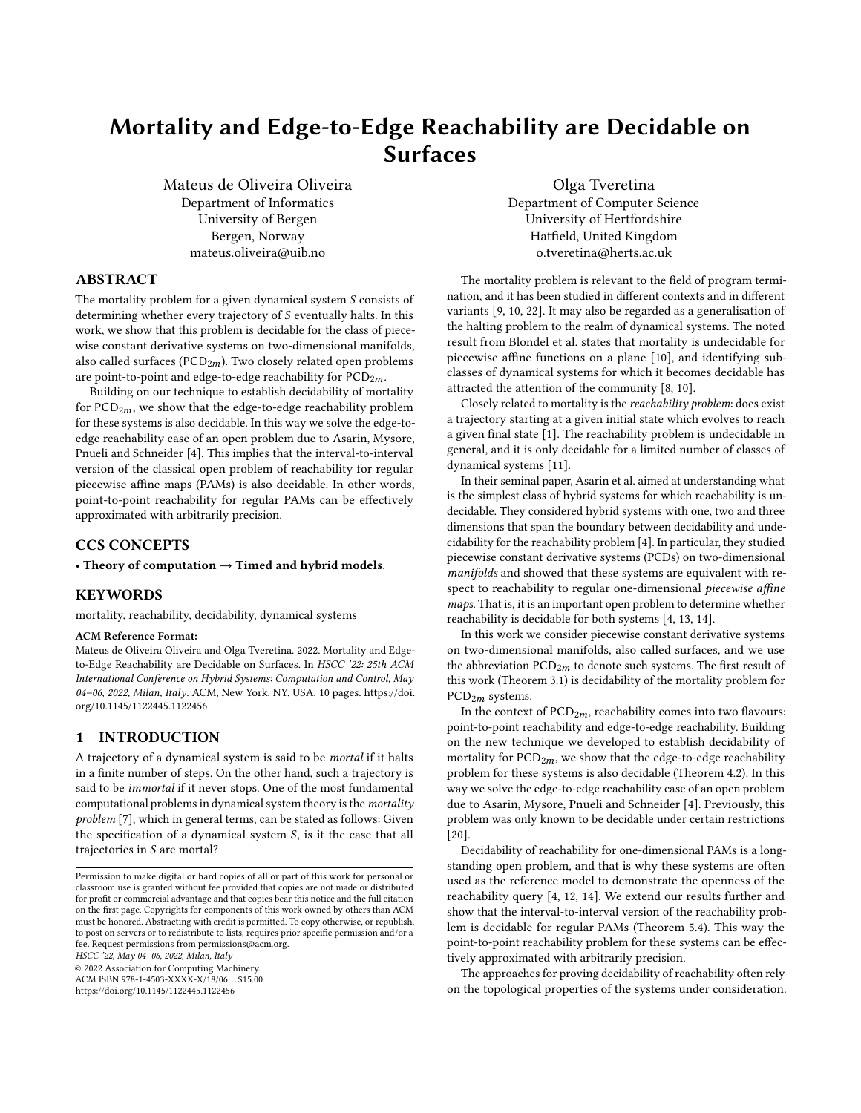# Mortality and Edge-to-Edge Reachability are Decidable on Surfaces

Mateus de Oliveira Oliveira Department of Informatics University of Bergen Bergen, Norway mateus.oliveira@uib.no

Olga Tveretina Department of Computer Science University of Hertfordshire Hatfield, United Kingdom o.tveretina@herts.ac.uk

## ABSTRACT

The mortality problem for a given dynamical system  $S$  consists of determining whether every trajectory of  $S$  eventually halts. In this work, we show that this problem is decidable for the class of piecewise constant derivative systems on two-dimensional manifolds, also called surfaces ( $PCD_{2m}$ ). Two closely related open problems are point-to-point and edge-to-edge reachability for  $PCD_{2m}$ .

Building on our technique to establish decidability of mortality for  $PCD<sub>2m</sub>$ , we show that the edge-to-edge reachability problem for these systems is also decidable. In this way we solve the edge-toedge reachability case of an open problem due to Asarin, Mysore, Pnueli and Schneider [\[4\]](#page-9-0). This implies that the interval-to-interval version of the classical open problem of reachability for regular piecewise affine maps (PAMs) is also decidable. In other words, point-to-point reachability for regular PAMs can be effectively approximated with arbitrarily precision.

## CCS CONCEPTS

## • Theory of computation  $\rightarrow$  Timed and hybrid models.

## **KEYWORDS**

mortality, reachability, decidability, dynamical systems

#### ACM Reference Format:

Mateus de Oliveira Oliveira and Olga Tveretina. 2022. Mortality and Edgeto-Edge Reachability are Decidable on Surfaces. In HSCC '22: 25th ACM International Conference on Hybrid Systems: Computation and Control, May 04–06, 2022, Milan, Italy. ACM, New York, NY, USA, [10](#page-9-1) pages. [https://doi.](https://doi.org/10.1145/1122445.1122456) [org/10.1145/1122445.1122456](https://doi.org/10.1145/1122445.1122456)

#### 1 INTRODUCTION

A trajectory of a dynamical system is said to be mortal if it halts in a finite number of steps. On the other hand, such a trajectory is said to be immortal if it never stops. One of the most fundamental computational problems in dynamical system theory is the mortality problem [\[7\]](#page-9-2), which in general terms, can be stated as follows: Given the specification of a dynamical system  $S$ , is it the case that all trajectories in  $S$  are mortal?

HSCC '22, May 04–06, 2022, Milan, Italy

© 2022 Association for Computing Machinery.

ACM ISBN 978-1-4503-XXXX-X/18/06. . . \$15.00 <https://doi.org/10.1145/1122445.1122456>

The mortality problem is relevant to the field of program termination, and it has been studied in different contexts and in different variants [\[9,](#page-9-3) [10,](#page-9-4) [22\]](#page-9-5). It may also be regarded as a generalisation of the halting problem to the realm of dynamical systems. The noted result from Blondel et al. states that mortality is undecidable for piecewise affine functions on a plane [\[10\]](#page-9-4), and identifying subclasses of dynamical systems for which it becomes decidable has attracted the attention of the community [\[8,](#page-9-6) [10\]](#page-9-4).

Closely related to mortality is the reachability problem: does exist a trajectory starting at a given initial state which evolves to reach a given final state [\[1\]](#page-9-7). The reachability problem is undecidable in general, and it is only decidable for a limited number of classes of dynamical systems [\[11\]](#page-9-8).

In their seminal paper, Asarin et al. aimed at understanding what is the simplest class of hybrid systems for which reachability is undecidable. They considered hybrid systems with one, two and three dimensions that span the boundary between decidability and undecidability for the reachability problem [\[4\]](#page-9-0). In particular, they studied piecewise constant derivative systems (PCDs) on two-dimensional manifolds and showed that these systems are equivalent with respect to reachability to regular one-dimensional piecewise affine maps. That is, it is an important open problem to determine whether reachability is decidable for both systems [\[4,](#page-9-0) [13,](#page-9-9) [14\]](#page-9-10).

In this work we consider piecewise constant derivative systems on two-dimensional manifolds, also called surfaces, and we use the abbreviation  $PCD_{2m}$  to denote such systems. The first result of this work (Theorem [3.1\)](#page-3-0) is decidability of the mortality problem for  $PCD<sub>2m</sub>$  systems.

In the context of  $PCD_{2m}$ , reachability comes into two flavours: point-to-point reachability and edge-to-edge reachability. Building on the new technique we developed to establish decidability of mortality for  $PCD_{2m}$ , we show that the edge-to-edge reachability problem for these systems is also decidable (Theorem [4.2\)](#page-7-0). In this way we solve the edge-to-edge reachability case of an open problem due to Asarin, Mysore, Pnueli and Schneider [\[4\]](#page-9-0). Previously, this problem was only known to be decidable under certain restrictions [\[20\]](#page-9-11).

Decidability of reachability for one-dimensional PAMs is a longstanding open problem, and that is why these systems are often used as the reference model to demonstrate the openness of the reachability query [\[4,](#page-9-0) [12,](#page-9-12) [14\]](#page-9-10). We extend our results further and show that the interval-to-interval version of the reachability problem is decidable for regular PAMs (Theorem [5.4\)](#page-8-0). This way the point-to-point reachability problem for these systems can be effectively approximated with arbitrarily precision.

The approaches for proving decidability of reachability often rely on the topological properties of the systems under consideration.

Permission to make digital or hard copies of all or part of this work for personal or classroom use is granted without fee provided that copies are not made or distributed for profit or commercial advantage and that copies bear this notice and the full citation on the first page. Copyrights for components of this work owned by others than ACM must be honored. Abstracting with credit is permitted. To copy otherwise, or republish, to post on servers or to redistribute to lists, requires prior specific permission and/or a fee. Request permissions from permissions@acm.org.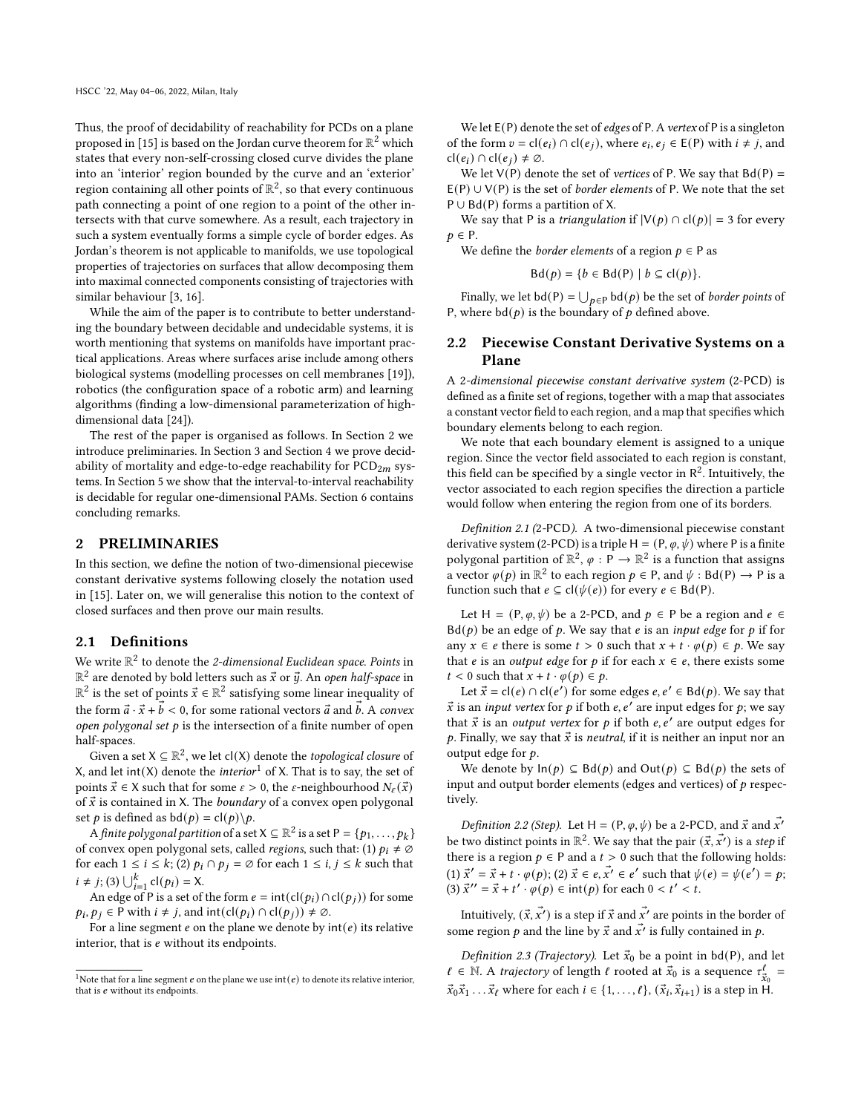Thus, the proof of decidability of reachability for PCDs on a plane proposed in [\[15\]](#page-9-13) is based on the Jordan curve theorem for  $\mathbb{R}^2$  which states that every non-self-crossing closed curve divides the plane into an 'interior' region bounded by the curve and an 'exterior' region containing all other points of  $\mathbb{R}^2$ , so that every continuous path connecting a point of one region to a point of the other intersects with that curve somewhere. As a result, each trajectory in such a system eventually forms a simple cycle of border edges. As Jordan's theorem is not applicable to manifolds, we use topological properties of trajectories on surfaces that allow decomposing them into maximal connected components consisting of trajectories with similar behaviour [\[3,](#page-9-14) [16\]](#page-9-15).

While the aim of the paper is to contribute to better understanding the boundary between decidable and undecidable systems, it is worth mentioning that systems on manifolds have important practical applications. Areas where surfaces arise include among others biological systems (modelling processes on cell membranes [\[19\]](#page-9-16)), robotics (the configuration space of a robotic arm) and learning algorithms (finding a low-dimensional parameterization of highdimensional data [\[24\]](#page-9-17)).

The rest of the paper is organised as follows. In Section [2](#page-1-0) we introduce preliminaries. In Section [3](#page-3-1) and Section [4](#page-7-1) we prove decidability of mortality and edge-to-edge reachability for  $PCD_{2m}$  systems. In Section [5](#page-8-1) we show that the interval-to-interval reachability is decidable for regular one-dimensional PAMs. Section [6](#page-8-2) contains concluding remarks.

#### <span id="page-1-0"></span>2 PRELIMINARIES

In this section, we define the notion of two-dimensional piecewise constant derivative systems following closely the notation used in [\[15\]](#page-9-13). Later on, we will generalise this notion to the context of closed surfaces and then prove our main results.

## 2.1 Definitions

We write  $\mathbb{R}^2$  to denote the 2-dimensional Euclidean space. Points in  $\mathbb{R}^2$  are denoted by bold letters such as  $\vec{x}$  or  $\vec{y}$ . An *open half-space* in  $\mathbb{R}^2$  is the set of points  $\vec{x} \in \mathbb{R}^2$  satisfying some linear inequality of the form  $\vec{a} \cdot \vec{x} + \vec{b} < 0$ , for some rational vectors  $\vec{a}$  and  $\vec{b}$ . A convex open polygonal set  $p$  is the intersection of a finite number of open half-spaces.

Given a set  $X \subseteq \mathbb{R}^2$ , we let cl(X) denote the *topological closure* of X, and let int(X) denote the *interior*<sup>[1](#page-1-1)</sup> of X. That is to say, the set of points  $\vec{x} \in X$  such that for some  $\varepsilon > 0$ , the  $\varepsilon$ -neighbourhood  $N_{\varepsilon}(\vec{x})$ of  $\vec{x}$  is contained in X. The *boundary* of a convex open polygonal set *p* is defined as  $bd(p) = cl(p)\,p$ .

A finite polygonal partition of a set  $X \subseteq \mathbb{R}^2$  is a set  $P = \{p_1, \ldots, p_k\}$ of convex open polygonal sets, called *regions*, such that: (1)  $p_i \neq \emptyset$ for each  $1 \le i \le k$ ; (2)  $p_i \cap p_j = \emptyset$  for each  $1 \le i, j \le k$  such that  $i \neq j$ ; (3)  $\bigcup_{i=1}^{k}$  cl( $p_i$ ) = X.

An edge of P is a set of the form  $e = \text{int}(\text{cl}(p_i) \cap \text{cl}(p_j))$  for some  $p_i, p_j \in P$  with  $i \neq j$ , and int $(cl(p_i) \cap cl(p_j)) \neq \emptyset$ .

For a line segment  $e$  on the plane we denote by  $int(e)$  its relative interior, that is  $e$  without its endpoints.

We let  $E(P)$  denote the set of *edges* of P. A *vertex* of P is a singleton of the form  $v = cl(e_i) \cap cl(e_j)$ , where  $e_i, e_j \in E(P)$  with  $i \neq j$ , and  $cl(e_i) \cap cl(e_i) \neq \emptyset$ .

We let  $V(P)$  denote the set of vertices of P. We say that  $Bd(P) =$  $E(P) \cup V(P)$  is the set of *border elements* of P. We note that the set P ∪ Bd(P) forms a partition of X.

We say that P is a *triangulation* if  $|V(p) \cap cl(p)| = 3$  for every  $p \in P$ .

We define the *border elements* of a region  $p \in P$  as

$$
Bd(p) = \{b \in Bd(P) \mid b \subseteq cl(p)\}.
$$

Finally, we let  $\text{bd}(P) = \bigcup_{p \in P} \text{bd}(p)$  be the set of *border points* of P, where  $\text{bd}(p)$  is the boundary of  $p$  defined above.

## 2.2 Piecewise Constant Derivative Systems on a Plane

A 2-dimensional piecewise constant derivative system (2-PCD) is defined as a finite set of regions, together with a map that associates a constant vector field to each region, and a map that specifies which boundary elements belong to each region.

We note that each boundary element is assigned to a unique region. Since the vector field associated to each region is constant, this field can be specified by a single vector in  $\mathbb{R}^2$ . Intuitively, the vector associated to each region specifies the direction a particle would follow when entering the region from one of its borders.

Definition 2.1 (2-PCD). A two-dimensional piecewise constant derivative system (2-PCD) is a triple H = (P,  $\varphi$ ,  $\psi$ ) where P is a finite polygonal partition of  $\mathbb{R}^2$ ,  $\varphi : \mathbb{P} \to \mathbb{R}^2$  is a function that assigns a vector  $\varphi(p)$  in  $\mathbb{R}^2$  to each region  $p \in P$ , and  $\psi : Bd(P) \to P$  is a function such that  $e \subseteq cl(\psi(e))$  for every  $e \in Bd(P)$ .

Let H =  $(P, \varphi, \psi)$  be a 2-PCD, and  $p \in P$  be a region and  $e \in$  $Bd(p)$  be an edge of p. We say that e is an input edge for p if for any  $x \in e$  there is some  $t > 0$  such that  $x + t \cdot \varphi(p) \in p$ . We say that *e* is an *output edge* for *p* if for each  $x \in e$ , there exists some  $t < 0$  such that  $x + t \cdot \varphi(p) \in p$ .

Let  $\vec{x} = cl(e) \cap cl(e')$  for some edges  $e, e' \in Bd(p)$ . We say that  $\vec{x}$  is an *input vertex* for  $p$  if both  $e, e'$  are input edges for  $p$ ; we say that  $\vec{x}$  is an output vertex for p if both e,  $e'$  are output edges for p. Finally, we say that  $\vec{x}$  is *neutral*, if it is neither an input nor an output edge for  $p$ .

We denote by  $\ln(p) \subseteq \text{Bd}(p)$  and  $\text{Out}(p) \subseteq \text{Bd}(p)$  the sets of input and output border elements (edges and vertices) of  $p$  respectively.

*Definition 2.2 (Step).* Let H =  $(P, \varphi, \psi)$  be a 2-PCD, and  $\vec{x}$  and  $\vec{x'}$ be two distinct points in  $\mathbb{R}^2$ . We say that the pair  $(\vec{x}, \vec{x'})$  is a step if there is a region  $p \in P$  and a  $t > 0$  such that the following holds: (1)  $\vec{x}' = \vec{x} + t \cdot \varphi(p)$ ; (2)  $\vec{x} \in e, \vec{x'} \in e'$  such that  $\psi(e) = \psi(e') = p$ ; (3)  $\vec{x}^{\prime\prime} = \vec{x} + t^{\prime} \cdot \varphi(p) \in \text{int}(p)$  for each  $0 < t^{\prime} < t$ .

Intuitively,  $(\vec{x},\vec{x'})$  is a step if  $\vec{x}$  and  $\vec{x'}$  are points in the border of some region  $p$  and the line by  $\vec{x}$  and  $\vec{x'}$  is fully contained in  $p$ .

Definition 2.3 (Trajectory). Let  $\vec{x}_0$  be a point in bd(P), and let  $\ell \in \mathbb{N}$ . A trajectory of length  $\ell$  rooted at  $\vec{x}_0$  is a sequence  $\tau_{\vec{x}_0}^{\ell} =$  $\vec{x}_0 \vec{x}_1 \dots \vec{x}_\ell$  where for each  $i \in \{1, \dots, \ell\}$ ,  $(\vec{x}_i, \vec{x}_{i+1})$  is a step in H.

<span id="page-1-1"></span><sup>&</sup>lt;sup>1</sup>Note that for a line segment  $e$  on the plane we use int( $e$ ) to denote its relative interior, that is  $e$  without its endpoints.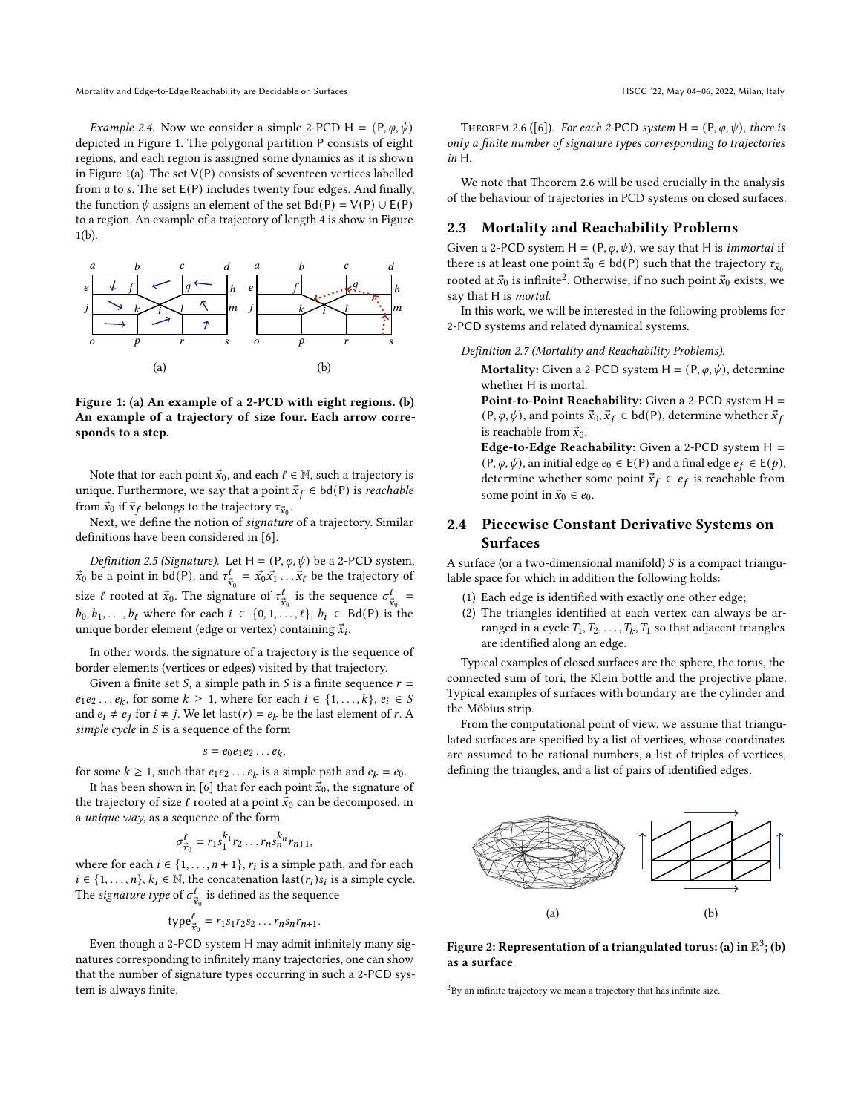Mortality and Edge-to-Edge Reachability are Decidable on Surfaces **HSCC** '22, May 04–06, 2022, Milan, Italy

*Example 2.4.* Now we consider a simple 2-PCD H =  $(P, \varphi, \psi)$ depicted in Figure [1.](#page-2-0) The polygonal partition P consists of eight regions, and each region is assigned some dynamics as it is shown in Figure [1\(](#page-2-0)a). The set  $V(P)$  consists of seventeen vertices labelled from  $a$  to s. The set  $E(P)$  includes twenty four edges. And finally, the function  $\psi$  assigns an element of the set Bd(P) = V(P) ∪ E(P) to a region. An example of a trajectory of length 4 is show in Figure [1\(](#page-2-0)b).

<span id="page-2-0"></span>

Figure 1: (a) An example of a 2-PCD with eight regions. (b) An example of a trajectory of size four. Each arrow corresponds to a step.

Note that for each point  $\vec{x}_0$ , and each  $\ell \in \mathbb{N}$ , such a trajectory is unique. Furthermore, we say that a point  $\vec{x}_f \in bd(P)$  is *reachable* from  $\vec{x}_0$  if  $\vec{x}_f$  belongs to the trajectory  $\tau_{\vec{x}_0}$ .

Next, we define the notion of signature of a trajectory. Similar definitions have been considered in [\[6\]](#page-9-18).

Definition 2.5 (Signature). Let H =  $(P, \varphi, \psi)$  be a 2-PCD system,  $\vec{x}_0$  be a point in bd(P), and  $\tau_{\vec{x}_0}^{\ell} = \vec{x}_0 \vec{x}_1 \dots \vec{x}_{\ell}$  be the trajectory of size  $\ell$  rooted at  $\vec{x}_0$ . The signature of  $\tau_{\vec{x}_0}^{\ell}$  is the sequence  $\sigma_{\vec{x}_0}^{\ell}$  =  $b_0, b_1, \ldots, b_\ell$  where for each  $i \in \{0, 1, \ldots, \ell\}, b_i \in Bd(P)$  is the unique border element (edge or vertex) containing  $\vec{x}_i$ .

In other words, the signature of a trajectory is the sequence of border elements (vertices or edges) visited by that trajectory.

Given a finite set *S*, a simple path in *S* is a finite sequence  $r =$  $e_1e_2 \ldots e_k$ , for some  $k \ge 1$ , where for each  $i \in \{1, \ldots, k\}$ ,  $e_i \in S$ and  $e_i \neq e_j$  for  $i \neq j$ . We let last( $r$ ) =  $e_k$  be the last element of  $r$ . A simple cycle in  $S$  is a sequence of the form

$$
s=e_0e_1e_2\ldots e_k,
$$

for some  $k \ge 1$ , such that  $e_1 e_2 \dots e_k$  is a simple path and  $e_k = e_0$ .

It has been shown in [\[6\]](#page-9-18) that for each point  $\vec{x}_0$ , the signature of the trajectory of size  $\ell$  rooted at a point  $\vec{x}_0$  can be decomposed, in a unique way, as a sequence of the form

$$
\sigma_{\vec{x}_0}^{\ell} = r_1 s_1^{k_1} r_2 \dots r_n s_n^{k_n} r_{n+1},
$$

where for each  $i \in \{1, ..., n+1\}$ ,  $r_i$  is a simple path, and for each  $i \in \{1, \ldots, n\}, k_i \in \mathbb{N}$ , the concatenation  $last(r_i) s_i$  is a simple cycle. The *signature type* of  $\sigma_{\vec{x}_0}^{\ell}$  is defined as the sequence

$$
type_{\vec{x}_0}^\ell = r_1s_1r_2s_2\ldots r_ns_nr_{n+1}.
$$

Even though a 2-PCD system H may admit infinitely many signatures corresponding to infinitely many trajectories, one can show that the number of signature types occurring in such a 2-PCD system is always finite.

<span id="page-2-1"></span>THEOREM 2.6 ([\[6\]](#page-9-18)). For each 2-PCD system H =  $(P, \varphi, \psi)$ , there is only a finite number of signature types corresponding to trajectories in H.

We note that Theorem [2.6](#page-2-1) will be used crucially in the analysis of the behaviour of trajectories in PCD systems on closed surfaces.

#### 2.3 Mortality and Reachability Problems

Given a 2-PCD system  $H = (P, \varphi, \psi)$ , we say that H is *immortal* if there is at least one point  $\vec{x}_0 \in bd(P)$  such that the trajectory  $\tau_{\vec{x}_0}$ rooted at  $\vec{x}_0$  is infinite<sup>[2](#page-2-2)</sup>. Otherwise, if no such point  $\vec{x}_0$  exists, we say that H is *mortal*.

In this work, we will be interested in the following problems for 2-PCD systems and related dynamical systems.

Definition 2.7 (Mortality and Reachability Problems).

**Mortality:** Given a 2-PCD system  $H = (P, \varphi, \psi)$ , determine whether H is mortal.

Point-to-Point Reachability: Given a 2-PCD system H = (P,  $\varphi$ ,  $\psi$ ), and points  $\vec{x}_0$ ,  $\vec{x}_f \in bd(P)$ , determine whether  $\vec{x}_f$ is reachable from  $\vec{x}_0$ .

Edge-to-Edge Reachability: Given a 2-PCD system  $H =$  $(P, \varphi, \psi)$ , an initial edge  $e_0 \in E(P)$  and a final edge  $e_f \in E(p)$ , determine whether some point  $\vec{x}_f \in e_f$  is reachable from some point in  $\vec{x}_0 \in e_0$ .

## 2.4 Piecewise Constant Derivative Systems on Surfaces

A surface (or a two-dimensional manifold)  $S$  is a compact triangulable space for which in addition the following holds:

- (1) Each edge is identified with exactly one other edge;
- (2) The triangles identified at each vertex can always be arranged in a cycle  $T_1, T_2, \ldots, T_k, T_1$  so that adjacent triangles are identified along an edge.

Typical examples of closed surfaces are the sphere, the torus, the connected sum of tori, the Klein bottle and the projective plane. Typical examples of surfaces with boundary are the cylinder and the Möbius strip.

From the computational point of view, we assume that triangulated surfaces are specified by a list of vertices, whose coordinates are assumed to be rational numbers, a list of triples of vertices, defining the triangles, and a list of pairs of identified edges.



Figure 2: Representation of a triangulated torus: (a) in  $\mathbb{R}^3$ ; (b) as a surface

<span id="page-2-2"></span> $2By$  an infinite trajectory we mean a trajectory that has infinite size.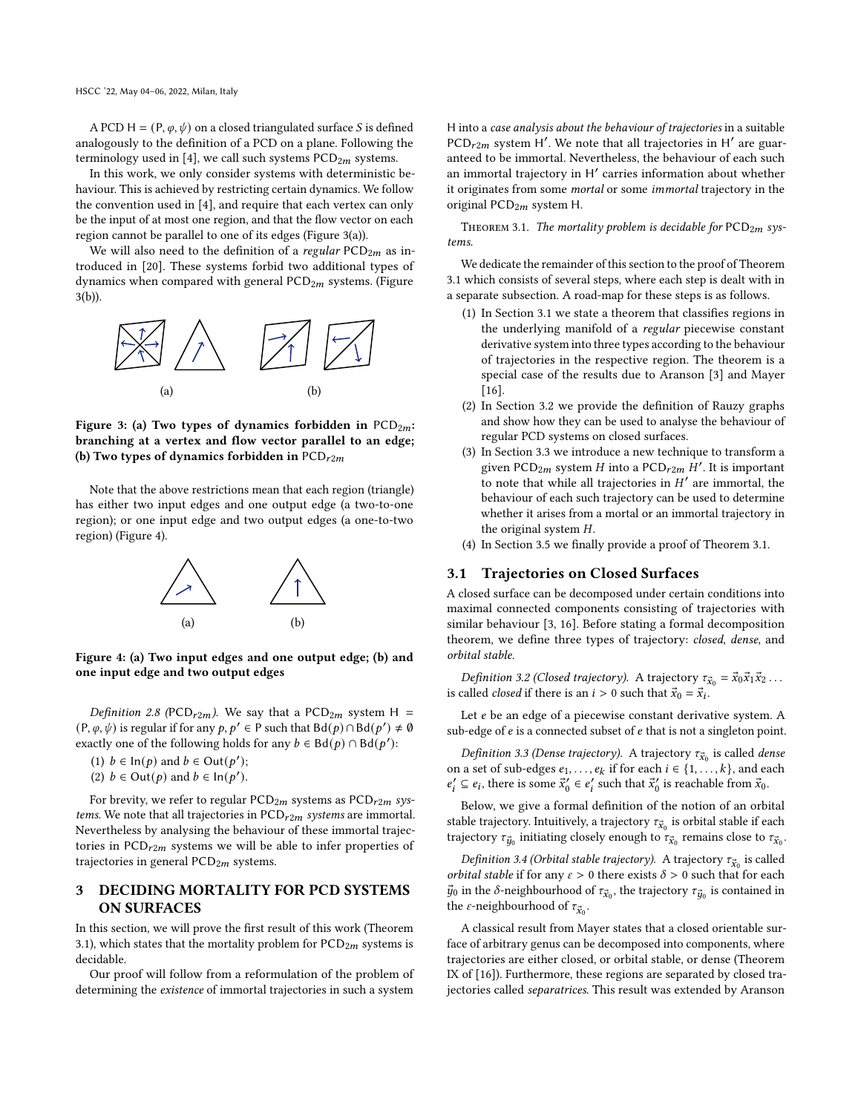A PCD H =  $(P, \varphi, \psi)$  on a closed triangulated surface *S* is defined analogously to the definition of a PCD on a plane. Following the terminology used in [\[4\]](#page-9-0), we call such systems  $PCD_{2m}$  systems.

In this work, we only consider systems with deterministic behaviour. This is achieved by restricting certain dynamics. We follow the convention used in [\[4\]](#page-9-0), and require that each vertex can only be the input of at most one region, and that the flow vector on each region cannot be parallel to one of its edges (Figure [3\(](#page-3-2)a)).

We will also need to the definition of a regular  $PCD_{2m}$  as introduced in [\[20\]](#page-9-11). These systems forbid two additional types of dynamics when compared with general  $PCD_{2m}$  systems. (Figure [3\(](#page-3-2)b)).

<span id="page-3-2"></span>

Figure 3: (a) Two types of dynamics forbidden in  $PCD_{2m}$ : branching at a vertex and flow vector parallel to an edge; (b) Two types of dynamics forbidden in  $PCD_{r2m}$ 

<span id="page-3-3"></span>Note that the above restrictions mean that each region (triangle) has either two input edges and one output edge (a two-to-one region); or one input edge and two output edges (a one-to-two region) (Figure [4\)](#page-3-3).



Figure 4: (a) Two input edges and one output edge; (b) and one input edge and two output edges

Definition 2.8 (PCD<sub>r2m</sub>). We say that a PCD<sub>2m</sub> system H =  $(P, \varphi, \psi)$  is regular if for any  $p, p' \in P$  such that  $Bd(p) \cap Bd(p') \neq \emptyset$ exactly one of the following holds for any  $b \in Bd(p) \cap Bd(p')$ :

(1)  $b \in \text{In}(p)$  and  $b \in \text{Out}(p')$ ;

(2)  $b \in$  Out(p) and  $b \in \text{In}(p')$ .

For brevity, we refer to regular  $PCD_{2m}$  systems as  $PCD_{r2m}$  systems. We note that all trajectories in  $PCD_{r2m}$  systems are immortal. Nevertheless by analysing the behaviour of these immortal trajectories in  $PCD_{r2m}$  systems we will be able to infer properties of trajectories in general  $PCD_{2m}$  systems.

## <span id="page-3-1"></span>3 DECIDING MORTALITY FOR PCD SYSTEMS ON SURFACES

In this section, we will prove the first result of this work (Theorem [3.1\)](#page-3-0), which states that the mortality problem for  $PCD_{2m}$  systems is decidable.

Our proof will follow from a reformulation of the problem of determining the existence of immortal trajectories in such a system H into a case analysis about the behaviour of trajectories in a suitable  $PCD_{r2m}$  system H'. We note that all trajectories in H' are guaranteed to be immortal. Nevertheless, the behaviour of each such an immortal trajectory in H ′ carries information about whether it originates from some mortal or some immortal trajectory in the original  $PCD_{2m}$  system H.

<span id="page-3-0"></span>THEOREM 3.1. The mortality problem is decidable for  $PCD_{2m}$  systems.

We dedicate the remainder of this section to the proof of Theorem [3.1](#page-3-0) which consists of several steps, where each step is dealt with in a separate subsection. A road-map for these steps is as follows.

- (1) In Section [3.1](#page-3-4) we state a theorem that classifies regions in the underlying manifold of a regular piecewise constant derivative system into three types according to the behaviour of trajectories in the respective region. The theorem is a special case of the results due to Aranson [\[3\]](#page-9-14) and Mayer [\[16\]](#page-9-15).
- (2) In Section [3.2](#page-5-0) we provide the definition of Rauzy graphs and show how they can be used to analyse the behaviour of regular PCD systems on closed surfaces.
- (3) In Section [3.3](#page-5-1) we introduce a new technique to transform a given PCD<sub>2m</sub> system H into a PCD<sub>r2m</sub> H'. It is important to note that while all trajectories in  $H'$  are immortal, the behaviour of each such trajectory can be used to determine whether it arises from a mortal or an immortal trajectory in the original system  $H$ .
- (4) In Section [3.5](#page-7-2) we finally provide a proof of Theorem [3.1.](#page-3-0)

#### <span id="page-3-4"></span>3.1 Trajectories on Closed Surfaces

A closed surface can be decomposed under certain conditions into maximal connected components consisting of trajectories with similar behaviour [\[3,](#page-9-14) [16\]](#page-9-15). Before stating a formal decomposition theorem, we define three types of trajectory: closed, dense, and orbital stable.

Definition 3.2 (Closed trajectory). A trajectory  $\tau_{\vec{x}_0} = \vec{x}_0 \vec{x}_1 \vec{x}_2 \dots$ is called *closed* if there is an  $i > 0$  such that  $\vec{x}_0 = \vec{x}_i$ .

Let  $e$  be an edge of a piecewise constant derivative system. A sub-edge of  $e$  is a connected subset of  $e$  that is not a singleton point.

Definition 3.3 (Dense trajectory). A trajectory  $\tau_{\vec{x}_0}$  is called dense on a set of sub-edges  $e_1, \ldots, e_k$  if for each  $i \in \{1, \ldots, k\}$ , and each  $e'_i \subseteq e_i$ , there is some  $\vec{x}'_0 \in e'_i$  such that  $\vec{x}'_0$  is reachable from  $\vec{x}_0$ .

Below, we give a formal definition of the notion of an orbital stable trajectory. Intuitively, a trajectory  $\tau_{\vec{x}_0}$  is orbital stable if each trajectory  $\tau_{\vec{y}_0}$  initiating closely enough to  $\tau_{\vec{x}_0}$  remains close to  $\tau_{\vec{x}_0}$ .

Definition 3.4 (Orbital stable trajectory). A trajectory  $\tau_{\vec{x}_0}$  is called *orbital stable* if for any  $\varepsilon > 0$  there exists  $\delta > 0$  such that for each  $\vec{y}_0$  in the  $\delta$ -neighbourhood of  $\tau_{\vec{x}_0}$ , the trajectory  $\tau_{\vec{y}_0}$  is contained in the *ε*-neighbourhood of  $\tau_{\vec{x}_0}$ .

A classical result from Mayer states that a closed orientable surface of arbitrary genus can be decomposed into components, where trajectories are either closed, or orbital stable, or dense (Theorem IX of [\[16\]](#page-9-15)). Furthermore, these regions are separated by closed trajectories called separatrices. This result was extended by Aranson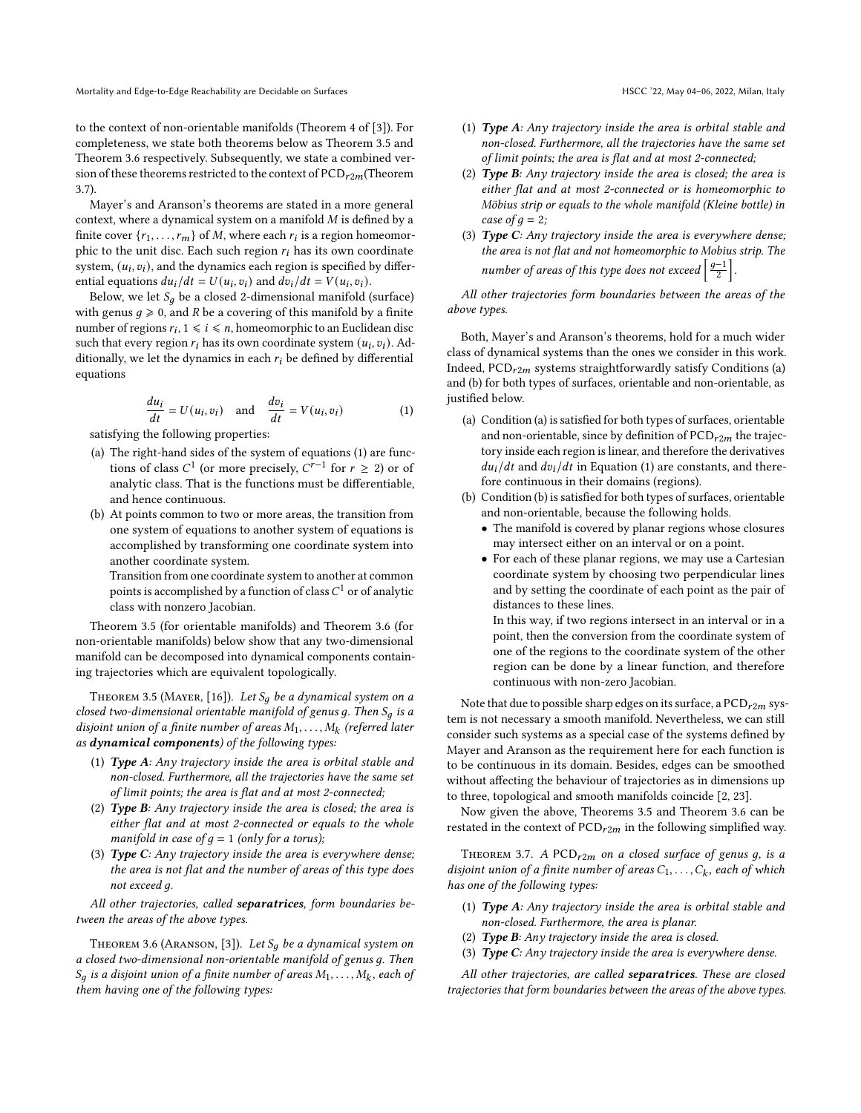to the context of non-orientable manifolds (Theorem 4 of [\[3\]](#page-9-14)). For completeness, we state both theorems below as Theorem [3.5](#page-4-0) and Theorem [3.6](#page-4-1) respectively. Subsequently, we state a combined version of these theorems restricted to the context of  $PCD_{r2m}$ (Theorem [3.7\)](#page-4-2).

Mayer's and Aranson's theorems are stated in a more general context, where a dynamical system on a manifold  $M$  is defined by a finite cover  $\{r_1, \ldots, r_m\}$  of M, where each  $r_i$  is a region homeomorphic to the unit disc. Each such region  $r_i$  has its own coordinate system,  $(u_i, v_i)$ , and the dynamics each region is specified by differential equations  $du_i/dt = U(u_i, v_i)$  and  $dv_i/dt = V(u_i, v_i)$ .

Below, we let  $S_q$  be a closed 2-dimensional manifold (surface) with genus  $q \ge 0$ , and R be a covering of this manifold by a finite number of regions  $r_i$ ,  $1 \leq i \leq n$ , homeomorphic to an Euclidean disc such that every region  $r_i$  has its own coordinate system  $(u_i, v_i)$ . Additionally, we let the dynamics in each  $r_i$  be defined by differential equations

<span id="page-4-3"></span>
$$
\frac{du_i}{dt} = U(u_i, v_i) \text{ and } \frac{dv_i}{dt} = V(u_i, v_i)
$$
 (1)

satisfying the following properties:

- (a) The right-hand sides of the system of equations [\(1\)](#page-4-3) are functions of class  $C^1$  (or more precisely,  $C^{r-1}$  for  $r \ge 2$ ) or of analytic class. That is the functions must be differentiable, and hence continuous.
- (b) At points common to two or more areas, the transition from one system of equations to another system of equations is accomplished by transforming one coordinate system into another coordinate system.

Transition from one coordinate system to another at common points is accomplished by a function of class  $C^1$  or of analytic class with nonzero Jacobian.

Theorem [3.5](#page-4-0) (for orientable manifolds) and Theorem [3.6](#page-4-1) (for non-orientable manifolds) below show that any two-dimensional manifold can be decomposed into dynamical components containing trajectories which are equivalent topologically.

<span id="page-4-0"></span>THEOREM 3.5 (MAYER, [\[16\]](#page-9-15)). Let  $S_q$  be a dynamical system on a closed two-dimensional orientable manifold of genus q. Then  $S_q$  is a disjoint union of a finite number of areas  $M_1, \ldots, M_k$  (referred later as dynamical components) of the following types:

- (1) Type A: Any trajectory inside the area is orbital stable and non-closed. Furthermore, all the trajectories have the same set of limit points; the area is flat and at most 2-connected;
- (2) Type B: Any trajectory inside the area is closed; the area is either flat and at most 2-connected or equals to the whole manifold in case of  $g = 1$  (only for a torus);
- (3) Type C: Any trajectory inside the area is everywhere dense; the area is not flat and the number of areas of this type does not exceed q.

All other trajectories, called separatrices, form boundaries between the areas of the above types.

<span id="page-4-1"></span>THEOREM 3.6 (ARANSON, [\[3\]](#page-9-14)). Let  $S_q$  be a dynamical system on a closed two-dimensional non-orientable manifold of genus g. Then  $S_q$  is a disjoint union of a finite number of areas  $M_1, \ldots, M_k$ , each of them having one of the following types:

- (1) Type A: Any trajectory inside the area is orbital stable and non-closed. Furthermore, all the trajectories have the same set of limit points; the area is flat and at most 2-connected;
- (2) Type B: Any trajectory inside the area is closed; the area is either flat and at most 2-connected or is homeomorphic to Möbius strip or equals to the whole manifold (Kleine bottle) in case of  $q = 2$ ;
- (3) Type C: Any trajectory inside the area is everywhere dense; the area is not flat and not homeomorphic to Mobius strip. The number of areas of this type does not exceed  $\left\lceil \frac{g-1}{2} \right\rceil$ .

All other trajectories form boundaries between the areas of the above types.

Both, Mayer's and Aranson's theorems, hold for a much wider class of dynamical systems than the ones we consider in this work. Indeed,  $PCD_{r2m}$  systems straightforwardly satisfy Conditions (a) and (b) for both types of surfaces, orientable and non-orientable, as justified below.

- (a) Condition (a) is satisfied for both types of surfaces, orientable and non-orientable, since by definition of  $PCD_{r2m}$  the trajectory inside each region is linear, and therefore the derivatives  $du_i/dt$  and  $dv_i/dt$  in Equation [\(1\)](#page-4-3) are constants, and therefore continuous in their domains (regions).
- (b) Condition (b) is satisfied for both types of surfaces, orientable and non-orientable, because the following holds.
	- The manifold is covered by planar regions whose closures may intersect either on an interval or on a point.
	- For each of these planar regions, we may use a Cartesian coordinate system by choosing two perpendicular lines and by setting the coordinate of each point as the pair of distances to these lines.

In this way, if two regions intersect in an interval or in a point, then the conversion from the coordinate system of one of the regions to the coordinate system of the other region can be done by a linear function, and therefore continuous with non-zero Jacobian.

Note that due to possible sharp edges on its surface, a  $PCD_{r2m}$  system is not necessary a smooth manifold. Nevertheless, we can still consider such systems as a special case of the systems defined by Mayer and Aranson as the requirement here for each function is to be continuous in its domain. Besides, edges can be smoothed without affecting the behaviour of trajectories as in dimensions up to three, topological and smooth manifolds coincide [\[2,](#page-9-19) [23\]](#page-9-20).

Now given the above, Theorems [3.5](#page-4-0) and Theorem [3.6](#page-4-1) can be restated in the context of  $PCD_{r2m}$  in the following simplified way.

<span id="page-4-2"></span>THEOREM 3.7. A PCD $r2m$  on a closed surface of genus g, is a disjoint union of a finite number of areas  $C_1, \ldots, C_k$ , each of which has one of the following types:

- (1) Type A: Any trajectory inside the area is orbital stable and non-closed. Furthermore, the area is planar.
- (2) Type B: Any trajectory inside the area is closed.
- (3) Type C: Any trajectory inside the area is everywhere dense.

All other trajectories, are called separatrices. These are closed trajectories that form boundaries between the areas of the above types.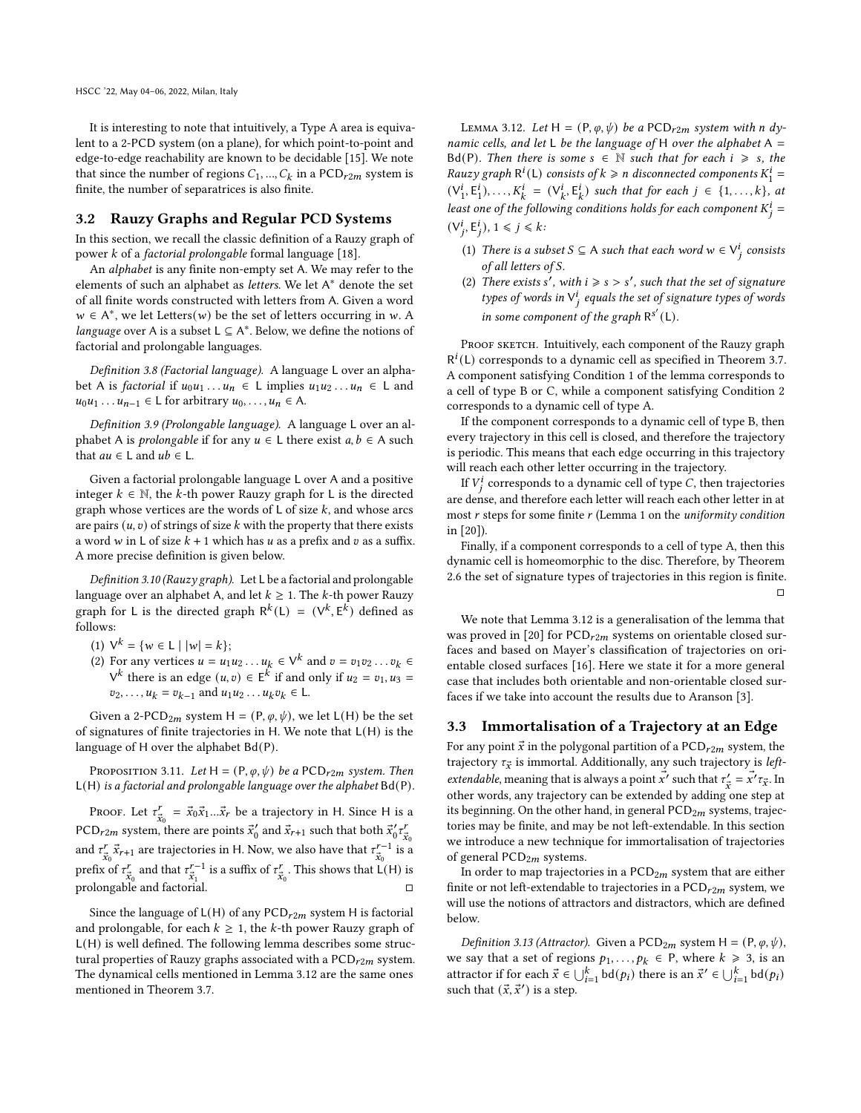It is interesting to note that intuitively, a Type A area is equivalent to a 2-PCD system (on a plane), for which point-to-point and edge-to-edge reachability are known to be decidable [\[15\]](#page-9-13). We note that since the number of regions  $C_1, ..., C_k$  in a  $PCD_{r2m}$  system is finite, the number of separatrices is also finite.

### <span id="page-5-0"></span>3.2 Rauzy Graphs and Regular PCD Systems

In this section, we recall the classic definition of a Rauzy graph of power  $k$  of a factorial prolongable formal language [\[18\]](#page-9-21).

An alphabet is any finite non-empty set A. We may refer to the elements of such an alphabet as letters. We let A<sup>\*</sup> denote the set of all finite words constructed with letters from A. Given a word  $w \in A^*$ , we let Letters(*w*) be the set of letters occurring in *w*. A language over A is a subset  $L \subseteq A^*$ . Below, we define the notions of factorial and prolongable languages.

Definition 3.8 (Factorial language). A language L over an alphabet A is *factorial* if  $u_0 u_1 \ldots u_n \in L$  implies  $u_1 u_2 \ldots u_n \in L$  and  $u_0u_1 \ldots u_{n-1} \in L$  for arbitrary  $u_0, \ldots, u_n \in A$ .

Definition 3.9 (Prolongable language). A language L over an alphabet A is *prolongable* if for any  $u \in L$  there exist  $a, b \in A$  such that  $au \in L$  and  $ub \in L$ .

Given a factorial prolongable language L over A and a positive integer  $k \in \mathbb{N}$ , the k-th power Rauzy graph for L is the directed graph whose vertices are the words of  $L$  of size  $k$ , and whose arcs are pairs  $(u, v)$  of strings of size  $k$  with the property that there exists a word w in L of size  $k + 1$  which has  $u$  as a prefix and  $v$  as a suffix. A more precise definition is given below.

Definition 3.10 (Rauzy graph). Let L be a factorial and prolongable language over an alphabet A, and let  $k \geq 1$ . The k-th power Rauzy graph for L is the directed graph  $R^k(L) = (V^k, E^k)$  defined as follows:

- (1)  $V^k = \{ w \in L \mid |w| = k \};$
- (2) For any vertices  $u = u_1 u_2 ... u_k \in V^k$  and  $v = v_1 v_2 ... v_k \in$  $V^k$  there is an edge  $(u, v) \in E^k$  if and only if  $u_2 = v_1, u_3 =$  $v_2, \ldots, u_k = v_{k-1}$  and  $u_1 u_2 \ldots u_k v_k \in L$ .

Given a 2-PCD<sub>2m</sub> system H = (P,  $\varphi$ ,  $\psi$ ), we let L(H) be the set of signatures of finite trajectories in H. We note that L(H) is the language of H over the alphabet Bd(P).

PROPOSITION 3.11. Let  $H = (P, \varphi, \psi)$  be a PCD<sub>r2m</sub> system. Then L(H) is a factorial and prolongable language over the alphabet Bd(P).

Proof. Let  $\tau_{\vec{x}_0}^r = \vec{x}_0 \vec{x}_1 ... \vec{x}_r$  be a trajectory in H. Since H is a PCD<sub>r2m</sub> system, there are points  $\vec{x}'_0$  and  $\vec{x}_{r+1}$  such that both  $\vec{x}'_0 \tau''_{\vec{x}_0}$ and  $\tau_{\vec{x}_0}^r \vec{x}_{r+1}$  are trajectories in H. Now, we also have that  $\tau_{\vec{x}_0}^{r-1}$  is a prefix of  $\tau_{\vec{x}_0}^r$  and that  $\tau_{\vec{x}_1}^{r-1}$  is a suffix of  $\tau_{\vec{x}_0}^r$ . This shows that  $L(H)$  is prolongable and factorial.

Since the language of  $L(H)$  of any  $PCD_{r2m}$  system H is factorial and prolongable, for each  $k \geq 1$ , the k-th power Rauzy graph of L(H) is well defined. The following lemma describes some structural properties of Rauzy graphs associated with a  $PCD_{r2m}$  system. The dynamical cells mentioned in Lemma [3.12](#page-5-2) are the same ones mentioned in Theorem [3.7.](#page-4-2)

<span id="page-5-2"></span>LEMMA 3.12. Let H =  $(P, \varphi, \psi)$  be a PCD<sub>r2m</sub> system with n dynamic cells, and let L be the language of H over the alphabet  $A =$ Bd(P). Then there is some  $s \in \mathbb{N}$  such that for each  $i \geq s$ , the Rauzy graph  $R^i(L)$  consists of  $k \geq n$  disconnected components  $K_1^i =$  $(V_1^i, E_1^i), \ldots, K_k^i = (V_k^i, E_k^i)$  such that for each  $j \in \{1, \ldots, k\}$ , at least one of the following conditions holds for each component  $K_j^i =$  $(V_j^i, E_j^i), 1 \le j \le k$ 

- <span id="page-5-3"></span>(1) There is a subset  $S \subseteq A$  such that each word  $w \in V_i^i$  consists of all letters of S.
- <span id="page-5-4"></span>(2) There exists s', with  $i \geq s > s'$ , such that the set of signature types of words in  $V_i^i$  equals the set of signature types of words in some component of the graph  $R^{s'}(L)$ .

PROOF SKETCH. Intuitively, each component of the Rauzy graph  $R^{i}(L)$  corresponds to a dynamic cell as specified in Theorem [3.7.](#page-4-2) A component satisfying Condition [1](#page-5-3) of the lemma corresponds to a cell of type B or C, while a component satisfying Condition [2](#page-5-4) corresponds to a dynamic cell of type A.

If the component corresponds to a dynamic cell of type B, then every trajectory in this cell is closed, and therefore the trajectory is periodic. This means that each edge occurring in this trajectory will reach each other letter occurring in the trajectory.

If  $V_j^i$  corresponds to a dynamic cell of type C, then trajectories are dense, and therefore each letter will reach each other letter in at most  $r$  steps for some finite  $r$  (Lemma 1 on the *uniformity condition* in [\[20\]](#page-9-11)).

Finally, if a component corresponds to a cell of type A, then this dynamic cell is homeomorphic to the disc. Therefore, by Theorem [2.6](#page-2-1) the set of signature types of trajectories in this region is finite. □

We note that Lemma [3.12](#page-5-2) is a generalisation of the lemma that was proved in [\[20\]](#page-9-11) for  $PCD_{r2m}$  systems on orientable closed surfaces and based on Mayer's classification of trajectories on orientable closed surfaces [\[16\]](#page-9-15). Here we state it for a more general case that includes both orientable and non-orientable closed surfaces if we take into account the results due to Aranson [\[3\]](#page-9-14).

## <span id="page-5-1"></span>3.3 Immortalisation of a Trajectory at an Edge

For any point  $\vec{x}$  in the polygonal partition of a  $\text{PCD}_{r2m}$  system, the trajectory  $\tau_{\vec{x}}$  is immortal. Additionally, any such trajectory is *leftextendable*, meaning that is always a point  $\vec{x'}$  such that  $\tau'_{\vec{x}} = \vec{x'} \tau_{\vec{x}}$ . In other words, any trajectory can be extended by adding one step at its beginning. On the other hand, in general  $PCD_{2m}$  systems, trajectories may be finite, and may be not left-extendable. In this section we introduce a new technique for immortalisation of trajectories of general  $PCD_{2m}$  systems.

In order to map trajectories in a  $PCD_{2m}$  system that are either finite or not left-extendable to trajectories in a  $PCD_{r2m}$  system, we will use the notions of attractors and distractors, which are defined below.

Definition 3.13 (Attractor). Given a PCD<sub>2m</sub> system H = (P,  $\varphi$ ,  $\psi$ ), we say that a set of regions  $p_1, \ldots, p_k \in P$ , where  $k \ge 3$ , is an attractor if for each  $\vec{x} \in \bigcup_{i=1}^{k} \text{bd}(p_i)$  there is an  $\vec{x}' \in \bigcup_{i=1}^{k} \text{bd}(p_i)$ such that  $(\vec{x}, \vec{x}')$  is a step.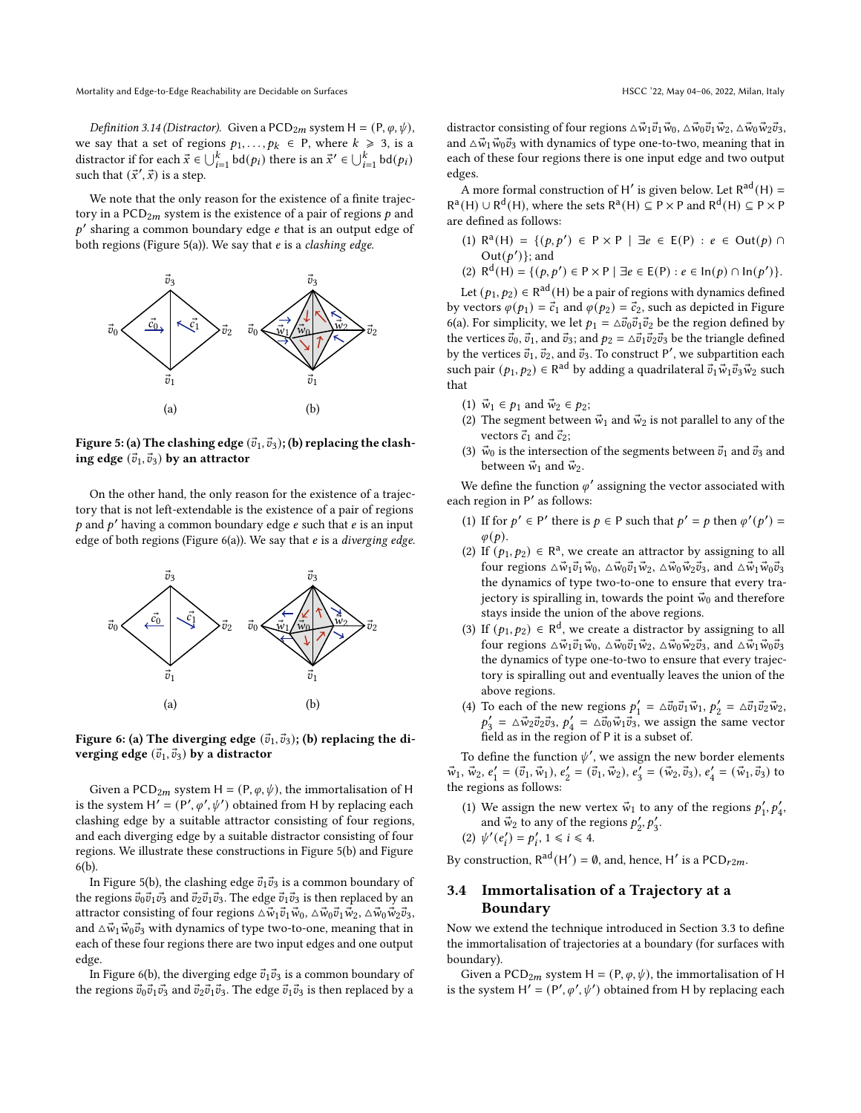*Definition 3.14 (Distractor).* Given a PCD<sub>2m</sub> system H =  $(P, \varphi, \psi)$ , we say that a set of regions  $p_1, \ldots, p_k \in P$ , where  $k \ge 3$ , is a distractor if for each  $\vec{x} \in \bigcup_{i=1}^{k} \text{bd}(p_i)$  there is an  $\vec{x}' \in \bigcup_{i=1}^{k} \text{bd}(p_i)$ such that  $(\vec{x}', \vec{x})$  is a step.

We note that the only reason for the existence of a finite trajectory in a  $PCD_{2m}$  system is the existence of a pair of regions  $p$  and  $p'$  sharing a common boundary edge  $e$  that is an output edge of both regions (Figure [5\(](#page-6-0)a)). We say that  $e$  is a *clashing edge*.

<span id="page-6-0"></span>

Figure 5: (a) The clashing edge  $(\vec{v}_1, \vec{v}_3)$ ; (b) replacing the clashing edge  $(\vec{v}_1, \vec{v}_3)$  by an attractor

On the other hand, the only reason for the existence of a trajectory that is not left-extendable is the existence of a pair of regions p and  $p'$  having a common boundary edge e such that e is an input edge of both regions (Figure  $6(a)$ ). We say that  $e$  is a diverging edge.

<span id="page-6-1"></span>

Figure 6: (a) The diverging edge  $(\vec{v}_1, \vec{v}_3)$ ; (b) replacing the diverging edge  $(\vec{v}_1, \vec{v}_3)$  by a distractor

Given a PCD<sub>2m</sub> system H = (P,  $\varphi$ ,  $\psi$ ), the immortalisation of H is the system  $H' = (P', \varphi', \psi')$  obtained from H by replacing each clashing edge by a suitable attractor consisting of four regions, and each diverging edge by a suitable distractor consisting of four regions. We illustrate these constructions in Figure [5\(](#page-6-0)b) and Figure [6\(](#page-6-1)b).

In Figure [5\(](#page-6-0)b), the clashing edge  $\vec{v}_1 \vec{v}_3$  is a common boundary of the regions  $\vec{v}_0 \vec{v}_1 \vec{v}_3$  and  $\vec{v}_2 \vec{v}_1 \vec{v}_3$ . The edge  $\vec{v}_1 \vec{v}_3$  is then replaced by an attractor consisting of four regions  $\Delta \vec{w}_1 \vec{v}_1 \vec{w}_0$ ,  $\Delta \vec{w}_0 \vec{v}_1 \vec{w}_2$ ,  $\Delta \vec{w}_0 \vec{w}_2 \vec{v}_3$ , and  $\Delta \vec{w}_1 \vec{w}_0 \vec{v}_3$  with dynamics of type two-to-one, meaning that in each of these four regions there are two input edges and one output edge.

In Figure [6\(](#page-6-1)b), the diverging edge  $\vec{v}_1\vec{v}_3$  is a common boundary of the regions  $\vec{v}_0 \vec{v}_1 \vec{v}_3$  and  $\vec{v}_2 \vec{v}_1 \vec{v}_3$ . The edge  $\vec{v}_1 \vec{v}_3$  is then replaced by a

distractor consisting of four regions  $\Delta \vec{w}_1 \vec{v}_1 \vec{w}_0$ ,  $\Delta \vec{w}_0 \vec{v}_1 \vec{w}_2$ ,  $\Delta \vec{w}_0 \vec{w}_2 \vec{v}_3$ , and  $\Delta \vec{w}_1 \vec{w}_0 \vec{v}_3$  with dynamics of type one-to-two, meaning that in each of these four regions there is one input edge and two output edges.

A more formal construction of H' is given below. Let  $R^{ad}(H)$  =  $R^a(H) \cup R^d(H)$ , where the sets  $R^a(H) \subseteq P \times P$  and  $R^d(H) \subseteq P \times P$ are defined as follows:

(1) R<sup>a</sup>(H) = {(p, p') ∈ P × P | ∃e ∈ E(P) : e ∈ Out(p) ∩ Out $(p')$ ; and

(2)  $R^{d}(H) = \{ (p, p') \in P \times P \mid \exists e \in E(P) : e \in In(p) \cap In(p') \}.$ 

Let  $(p_1, p_2) \in \mathsf{R}^\mathrm{ad}(\mathsf{H})$  be a pair of regions with dynamics defined by vectors  $\varphi(p_1) = \vec{c}_1$  and  $\varphi(p_2) = \vec{c}_2$ , such as depicted in Figure [6\(](#page-6-1)a). For simplicity, we let  $p_1 = \Delta \vec{v}_0 \vec{v}_1 \vec{v}_2$  be the region defined by the vertices  $\vec{v}_0$ ,  $\vec{v}_1$ , and  $\vec{v}_3$ ; and  $p_2 = \Delta \vec{v}_1 \vec{v}_2 \vec{v}_3$  be the triangle defined by the vertices  $\vec{v}_1$ ,  $\vec{v}_2$ , and  $\vec{v}_3$ . To construct P', we subpartition each such pair  $(p_1, p_2) ∈ \mathsf{R}^\mathsf{ad}$  by adding a quadrilateral  $\vec{v}_1 \vec{w}_1 \vec{v}_3 \vec{w}_2$  such that

- (1)  $\vec{w}_1 \in p_1$  and  $\vec{w}_2 \in p_2$ ;
- (2) The segment between  $\vec{w}_1$  and  $\vec{w}_2$  is not parallel to any of the vectors  $\vec{c}_1$  and  $\vec{c}_2$ ;
- (3)  $\vec{w}_0$  is the intersection of the segments between  $\vec{v}_1$  and  $\vec{v}_3$  and between  $\vec{w}_1$  and  $\vec{w}_2$ .

We define the function  $\varphi'$  assigning the vector associated with each region in P' as follows:

- (1) If for  $p' \in P'$  there is  $p \in P$  such that  $p' = p$  then  $\varphi'(p') =$  $\varphi(p)$ .
- (2) If  $(p_1, p_2) \in \mathbb{R}^a$ , we create an attractor by assigning to all four regions  $\Delta \vec{w}_1 \vec{v}_1 \vec{w}_0$ ,  $\Delta \vec{w}_0 \vec{v}_1 \vec{w}_2$ ,  $\Delta \vec{w}_0 \vec{w}_2 \vec{v}_3$ , and  $\Delta \vec{w}_1 \vec{w}_0 \vec{v}_3$ the dynamics of type two-to-one to ensure that every trajectory is spiralling in, towards the point  $\vec{w}_0$  and therefore stays inside the union of the above regions.
- (3) If  $(p_1, p_2) \in \mathbb{R}^d$ , we create a distractor by assigning to all four regions  $\Delta \vec{w}_1 \vec{v}_1 \vec{w}_0$ ,  $\Delta \vec{w}_0 \vec{v}_1 \vec{w}_2$ ,  $\Delta \vec{w}_0 \vec{w}_2 \vec{v}_3$ , and  $\Delta \vec{w}_1 \vec{w}_0 \vec{v}_3$ the dynamics of type one-to-two to ensure that every trajectory is spiralling out and eventually leaves the union of the above regions.
- (4) To each of the new regions  $p'_1 = \Delta \vec{v}_0 \vec{v}_1 \vec{w}_1$ ,  $p'_2 = \Delta \vec{v}_1 \vec{v}_2 \vec{w}_2$ ,  $p'_3 = \Delta \vec{w}_2 \vec{v}_2 \vec{v}_3$ ,  $p'_4 = \Delta \vec{v}_0 \vec{w}_1 \vec{v}_3$ , we assign the same vector field as in the region of P it is a subset of.

To define the function  $\psi'$ , we assign the new border elements  $\vec{w}_1$ ,  $\vec{w}_2$ ,  $e'_1 = (\vec{v}_1, \vec{w}_1)$ ,  $e'_2 = (\vec{v}_1, \vec{w}_2)$ ,  $e'_3 = (\vec{w}_2, \vec{v}_3)$ ,  $e'_4 = (\vec{w}_1, \vec{v}_3)$  to the regions as follows:

(1) We assign the new vertex  $\vec{w}_1$  to any of the regions  $p'_1, p'_4$ , and  $\vec{w}_2$  to any of the regions  $p'_2, p'_3$ . (2)  $\psi'(e'_i) = p'_i, 1 \le i \le 4.$ 

## By construction,  $R^{ad}(H') = \emptyset$ , and, hence, H' is a PCD<sub>r2m</sub>.

## <span id="page-6-2"></span>3.4 Immortalisation of a Trajectory at a Boundary

Now we extend the technique introduced in Section [3.3](#page-5-1) to define the immortalisation of trajectories at a boundary (for surfaces with boundary).

Given a PCD<sub>2m</sub> system H = (P,  $\varphi$ ,  $\psi$ ), the immortalisation of H is the system H' =  $(P', \varphi', \psi')$  obtained from H by replacing each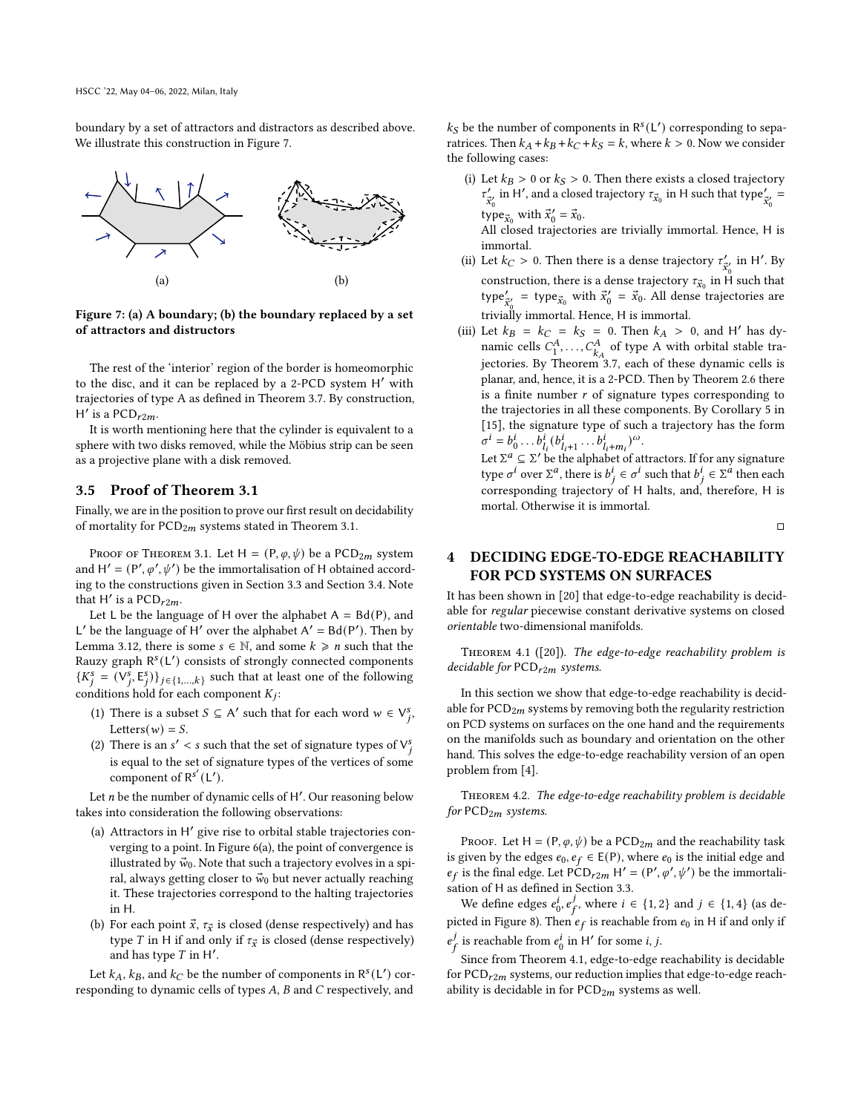boundary by a set of attractors and distractors as described above. We illustrate this construction in Figure [7.](#page-7-3)

<span id="page-7-3"></span>

Figure 7: (a) A boundary; (b) the boundary replaced by a set of attractors and distructors

The rest of the 'interior' region of the border is homeomorphic to the disc, and it can be replaced by a 2-PCD system H' with trajectories of type A as defined in Theorem [3.7.](#page-4-2) By construction,  $H'$  is a PCD<sub>r2m</sub>.

It is worth mentioning here that the cylinder is equivalent to a sphere with two disks removed, while the Möbius strip can be seen as a projective plane with a disk removed.

## <span id="page-7-2"></span>3.5 Proof of Theorem [3.1](#page-3-0)

Finally, we are in the position to prove our first result on decidability of mortality for  $PCD_{2m}$  systems stated in Theorem [3.1.](#page-3-0)

PROOF OF THEOREM [3.1.](#page-3-0) Let  $H = (P, \varphi, \psi)$  be a PCD<sub>2m</sub> system and  $H' = (P', \varphi', \psi')$  be the immortalisation of H obtained according to the constructions given in Section [3.3](#page-5-1) and Section [3.4.](#page-6-2) Note that H' is a  $PCD_{r2m}$ .

Let L be the language of H over the alphabet  $A = Bd(P)$ , and L' be the language of H' over the alphabet  $A' = Bd(P')$ . Then by Lemma [3.12,](#page-5-2) there is some  $s \in \mathbb{N}$ , and some  $k \geq n$  such that the Rauzy graph R<sup>s</sup>(L') consists of strongly connected components  $\{K_j^s = (V_j^s, E_j^s)\}_{j \in \{1, ..., k\}}$  such that at least one of the following conditions hold for each component  $K_i$ :

- (1) There is a subset  $S \subseteq A'$  such that for each word  $w \in V_j^s$ , Letters( $w$ ) =  $S$ .
- (2) There is an  $s' < s$  such that the set of signature types of  $V_j^s$ is equal to the set of signature types of the vertices of some component of  $R^{s'}(L')$ .

Let  $n$  be the number of dynamic cells of  $H'$ . Our reasoning below takes into consideration the following observations:

- (a) Attractors in H′ give rise to orbital stable trajectories converging to a point. In Figure [6\(](#page-6-1)a), the point of convergence is illustrated by  $\vec{w}_0$ . Note that such a trajectory evolves in a spiral, always getting closer to  $\vec{w}_0$  but never actually reaching it. These trajectories correspond to the halting trajectories in H.
- (b) For each point  $\vec{x}$ ,  $\tau_{\vec{x}}$  is closed (dense respectively) and has type T in H if and only if  $\tau_{\vec{x}}$  is closed (dense respectively) and has type  $T$  in  $H'$ .

Let  $k_A$ ,  $k_B$ , and  $k_C$  be the number of components in  $\mathsf{R}^s(\mathsf{L}')$  corresponding to dynamic cells of types  $A$ ,  $B$  and  $C$  respectively, and

 $k_S$  be the number of components in  $R<sup>s</sup>(L')$  corresponding to separatrices. Then  $k_A + k_B + k_C + k_S = k$ , where  $k > 0$ . Now we consider the following cases:

(i) Let  $k_B > 0$  or  $k_S > 0$ . Then there exists a closed trajectory  $\tau'_{\vec{x}_0}$  in H', and a closed trajectory  $\tau_{\vec{x}_0}$  in H such that type $\tau'_{\vec{x}_0}$  = type $\vec{x}_0$  with  $\vec{x}'_0 = \vec{x}_0$ .

All closed trajectories are trivially immortal. Hence, H is immortal.

- (ii) Let  $k_C > 0$ . Then there is a dense trajectory  $\tau'_{\vec{x}'_0}$  in H'. By construction, there is a dense trajectory  $\tau_{\vec{x}_0}$  in H such that type $\zeta'_{\vec{x}_0}$  = type $\vec{x}_0$  with  $\vec{x}_0' = \vec{x}_0$ . All dense trajectories are trivially immortal. Hence, H is immortal.
- (iii) Let  $k_B = k_C = k_S = 0$ . Then  $k_A > 0$ , and H' has dynamic cells  $C_1^A$ , ...,  $C_{k_A}^A$  of type A with orbital stable trajectories. By Theorem [3.7,](#page-4-2) each of these dynamic cells is planar, and, hence, it is a 2-PCD. Then by Theorem [2.6](#page-2-1) there is a finite number  $r$  of signature types corresponding to the trajectories in all these components. By Corollary 5 in [\[15\]](#page-9-13), the signature type of such a trajectory has the form  $\sigma^{i} = b_0^{i} \dots b_{l_i}^{i} (b_{l_i+1}^{i} \dots b_{l_i+m_i}^{i})^{\omega}$ . Let  $\Sigma^a \subseteq \Sigma'$  be the alphabet of attractors. If for any signature

type  $\sigma^i$  over  $\Sigma^a$ , there is  $b_j^i \in \sigma^i$  such that  $b_j^i \in \Sigma^a$  then each corresponding trajectory of H halts, and, therefore, H is mortal. Otherwise it is immortal.

□

## <span id="page-7-1"></span>4 DECIDING EDGE-TO-EDGE REACHABILITY FOR PCD SYSTEMS ON SURFACES

It has been shown in [\[20\]](#page-9-11) that edge-to-edge reachability is decidable for regular piecewise constant derivative systems on closed orientable two-dimensional manifolds.

<span id="page-7-4"></span>THEOREM 4.1 ( $[20]$ ). The edge-to-edge reachability problem is decidable for  $PCD_{r2m}$  systems.

In this section we show that edge-to-edge reachability is decidable for  $PCD<sub>2m</sub>$  systems by removing both the regularity restriction on PCD systems on surfaces on the one hand and the requirements on the manifolds such as boundary and orientation on the other hand. This solves the edge-to-edge reachability version of an open problem from [\[4\]](#page-9-0).

<span id="page-7-0"></span>Theorem 4.2. The edge-to-edge reachability problem is decidable for  $PCD_{2m}$  systems.

PROOF. Let H =  $(P, \varphi, \psi)$  be a PCD<sub>2m</sub> and the reachability task is given by the edges  $e_0, e_f \in E(P)$ , where  $e_0$  is the initial edge and  $e_f$  is the final edge. Let PCD<sub>r2m</sub> H' = (P',  $\varphi'$ ,  $\psi'$ ) be the immortalisation of H as defined in Section [3.3.](#page-5-1)

We define edges  $e_0^i, e_f^j$  $j<sub>f</sub>$ , where  $i \in \{1, 2\}$  and  $j \in \{1, 4\}$  (as de-picted in Figure [8\)](#page-8-3). Then  $\overline{e_f}$  is reachable from  $e_0$  in H if and only if  $e^{j}$  $\frac{j}{f}$  is reachable from  $e_0^i$  in H' for some *i*, *j*.

Since from Theorem [4.1,](#page-7-4) edge-to-edge reachability is decidable for  $PCD_{r2m}$  systems, our reduction implies that edge-to-edge reachability is decidable in for  $PCD_{2m}$  systems as well.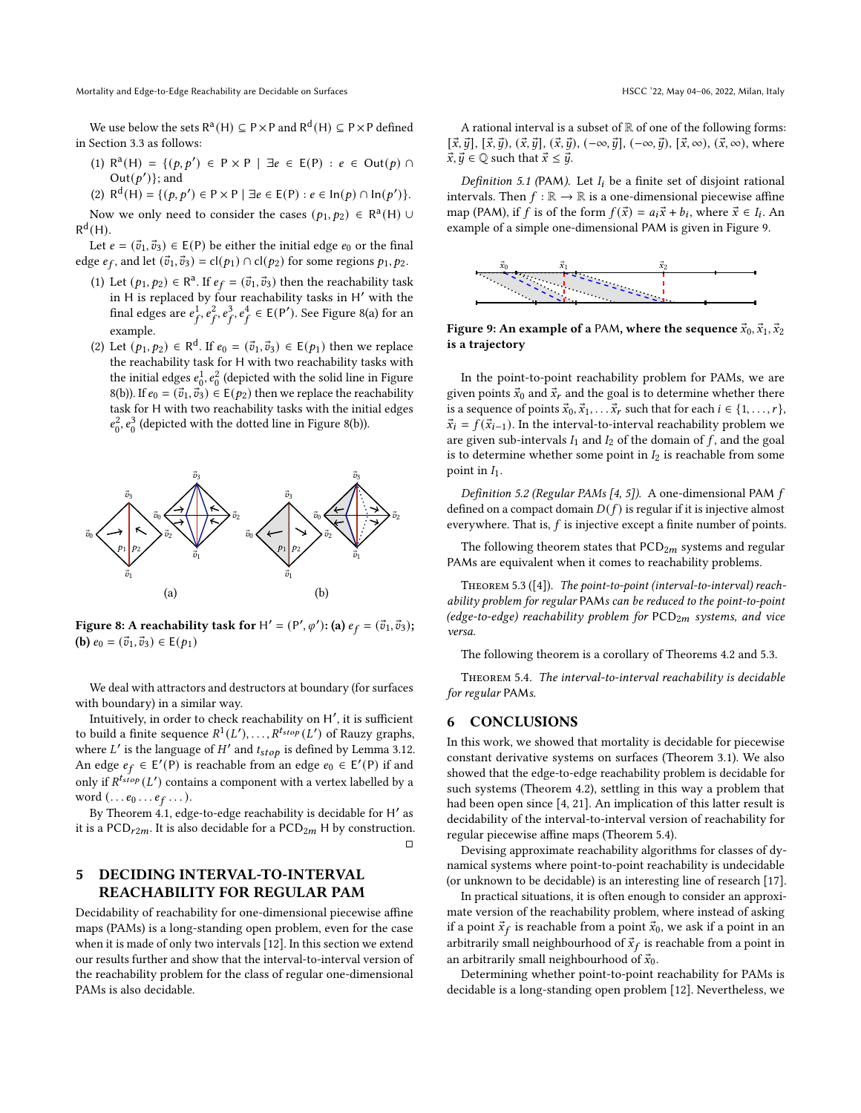Mortality and Edge-to-Edge Reachability are Decidable on Surfaces **HSCC** '22, May 04–06, 2022, Milan, Italy

We use below the sets  $R^a(H) \subseteq P \times P$  and  $R^d(H) \subseteq P \times P$  defined in Section [3.3](#page-5-1) as follows:

- (1) R<sup>a</sup>(H) = {(p, p') ∈ P × P | ∃e ∈ E(P) : e ∈ Out(p) ∩ Out $(p')$ ; and
- (2)  $R^{d}(H) = \{ (p, p') \in P \times P \mid \exists e \in E(P) : e \in In(p) \cap In(p') \}.$

Now we only need to consider the cases  $(p_1, p_2) \in \mathbb{R}^a(\mathsf{H}) \cup$  $R^d(H)$ .

Let  $e = (\vec{v}_1, \vec{v}_3) \in E(P)$  be either the initial edge  $e_0$  or the final edge  $e_f$ , and let  $(\vec{v}_1, \vec{v}_3) = cl(p_1) \cap cl(p_2)$  for some regions  $p_1, p_2$ .

- (1) Let  $(p_1, p_2) \in \mathbb{R}^a$ . If  $e_f = (\vec{v}_1, \vec{v}_3)$  then the reachability task in H is replaced by four reachability tasks in H ′ with the final edges are  $e_f^1$ ,  $e_f^2$ ,  $e_f^3$ ,  $e_f^4$   $\in$  E(P'). See Figure [8\(](#page-8-3)a) for an example.
- (2) Let  $(p_1, p_2)$  ∈ R<sup>d</sup>. If  $e_0 = (\vec{v}_1, \vec{v}_3)$  ∈ E $(p_1)$  then we replace the reachability task for H with two reachability tasks with the initial edges  $e_0^1, e_0^2$  (depicted with the solid line in Figure [8\(](#page-8-3)b)). If  $e_0 = (\vec{v}_1, \vec{v}_3) \in E(p_2)$  then we replace the reachability task for H with two reachability tasks with the initial edges  $e_0^2$ ,  $e_0^3$  (depicted with the dotted line in Figure [8\(](#page-8-3)b)).

<span id="page-8-3"></span>

Figure 8: A reachability task for  $H' = (P', \varphi')$ : (a)  $e_f = (\vec{v}_1, \vec{v}_3)$ ; (**b**)  $e_0 = (\vec{v}_1, \vec{v}_3) \in E(p_1)$ 

We deal with attractors and destructors at boundary (for surfaces with boundary) in a similar way.

Intuitively, in order to check reachability on H ′ , it is sufficient to build a finite sequence  $R^1(L'), \ldots, R^{t_{stop}}(L')$  of Rauzy graphs, where L' is the language of H' and  $t_{stop}$  is defined by Lemma [3.12.](#page-5-2) An edge  $e_f \in E'(P)$  is reachable from an edge  $e_0 \in E'(P)$  if and only if  $R^{t_{stop}}(L')$  contains a component with a vertex labelled by a word  $(\ldots e_0 \ldots e_f \ldots)$ .

By Theorem [4.1,](#page-7-4) edge-to-edge reachability is decidable for H′ as it is a PCD<sub>r2m</sub>. It is also decidable for a PCD<sub>2m</sub> H by construction. □

## <span id="page-8-1"></span>5 DECIDING INTERVAL-TO-INTERVAL REACHABILITY FOR REGULAR PAM

Decidability of reachability for one-dimensional piecewise affine maps (PAMs) is a long-standing open problem, even for the case when it is made of only two intervals [\[12\]](#page-9-12). In this section we extend our results further and show that the interval-to-interval version of the reachability problem for the class of regular one-dimensional PAMs is also decidable.

A rational interval is a subset of  $\mathbb R$  of one of the following forms:  $[\vec{x}, \vec{y}]$ ,  $[\vec{x}, \vec{y}]$ ,  $(\vec{x}, \vec{y}]$ ,  $(\vec{x}, \vec{y})$ ,  $(-\infty, \vec{y}]$ ,  $(-\infty, \vec{y})$ ,  $[\vec{x}, \infty)$ ,  $(\vec{x}, \infty)$ , where  $\vec{x}, \vec{y} \in \mathbb{Q}$  such that  $\vec{x} \leq \vec{y}$ .

Definition 5.1 (PAM). Let  $I_i$  be a finite set of disjoint rational intervals. Then  $f : \mathbb{R} \to \mathbb{R}$  is a one-dimensional piecewise affine map (PAM), if f is of the form  $f(\vec{x}) = a_i \vec{x} + b_i$ , where  $\vec{x} \in I_i$ . An example of a simple one-dimensional PAM is given in Figure [9.](#page-8-4)

<span id="page-8-4"></span>

Figure 9: An example of a PAM, where the sequence  $\vec{x}_0$ ,  $\vec{x}_1$ ,  $\vec{x}_2$ is a trajectory

In the point-to-point reachability problem for PAMs, we are given points  $\vec{x}_0$  and  $\vec{x}_r$  and the goal is to determine whether there is a sequence of points  $\vec{x}_0, \vec{x}_1, \ldots, \vec{x}_r$  such that for each  $i \in \{1, \ldots, r\}$ ,  $\vec{x}_i = f(\vec{x}_{i-1})$ . In the interval-to-interval reachability problem we are given sub-intervals  $I_1$  and  $I_2$  of the domain of  $f$ , and the goal is to determine whether some point in  $I_2$  is reachable from some point in  $I_1$ .

Definition 5.2 (Regular PAMs [\[4,](#page-9-0) [5\]](#page-9-22)). A one-dimensional PAM f defined on a compact domain  $D(f)$  is regular if it is injective almost everywhere. That is,  $f$  is injective except a finite number of points.

The following theorem states that  $PCD_{2m}$  systems and regular PAMs are equivalent when it comes to reachability problems.

<span id="page-8-5"></span>Theorem 5.3 ([\[4\]](#page-9-0)). The point-to-point (interval-to-interval) reachability problem for regular PAMs can be reduced to the point-to-point (edge-to-edge) reachability problem for  $PCD_{2m}$  systems, and vice versa.

The following theorem is a corollary of Theorems [4.2](#page-7-0) and [5.3.](#page-8-5)

<span id="page-8-0"></span>Theorem 5.4. The interval-to-interval reachability is decidable for regular PAMs.

#### <span id="page-8-2"></span>6 CONCLUSIONS

In this work, we showed that mortality is decidable for piecewise constant derivative systems on surfaces (Theorem [3.1\)](#page-3-0). We also showed that the edge-to-edge reachability problem is decidable for such systems (Theorem [4.2\)](#page-7-0), settling in this way a problem that had been open since [\[4,](#page-9-0) [21\]](#page-9-23). An implication of this latter result is decidability of the interval-to-interval version of reachability for regular piecewise affine maps (Theorem [5.4\)](#page-8-0).

Devising approximate reachability algorithms for classes of dynamical systems where point-to-point reachability is undecidable (or unknown to be decidable) is an interesting line of research [\[17\]](#page-9-24).

In practical situations, it is often enough to consider an approximate version of the reachability problem, where instead of asking if a point  $\vec{x}_f$  is reachable from a point  $\vec{x}_0$ , we ask if a point in an arbitrarily small neighbourhood of  $\vec{x}_f$  is reachable from a point in an arbitrarily small neighbourhood of  $\vec{x}_0$ .

Determining whether point-to-point reachability for PAMs is decidable is a long-standing open problem [\[12\]](#page-9-12). Nevertheless, we